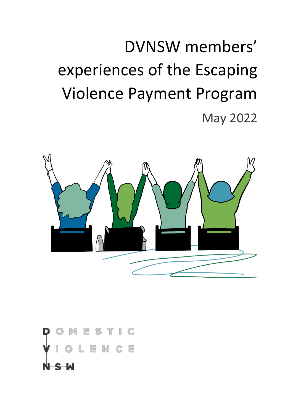## DVNSW members' experiences of the Escaping Violence Payment Program May 2022



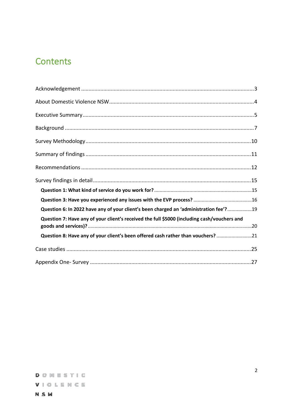## **Contents**

| Question 6: In 2022 have any of your client's been charged an 'administration fee'?19       |  |
|---------------------------------------------------------------------------------------------|--|
| Question 7: Have any of your client's received the full \$5000 (including cash/vouchers and |  |
| Question 8: Have any of your client's been offered cash rather than vouchers? 21            |  |
|                                                                                             |  |
|                                                                                             |  |

**NSW**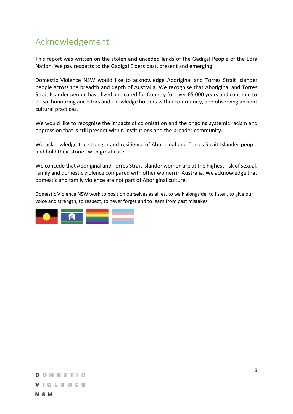## <span id="page-2-0"></span>Acknowledgement

This report was written on the stolen and unceded lands of the Gadigal People of the Eora Nation. We pay respects to the Gadigal Elders past, present and emerging.

Domestic Violence NSW would like to acknowledge Aboriginal and Torres Strait Islander people across the breadth and depth of Australia. We recognise that Aboriginal and Torres Strait Islander people have lived and cared for Country for over 65,000 years and continue to do so, honouring ancestors and knowledge holders within community, and observing ancient cultural practices.

We would like to recognise the impacts of colonisation and the ongoing systemic racism and oppression that is still present within institutions and the broader community.

We acknowledge the strength and resilience of Aboriginal and Torres Strait Islander people and hold their stories with great care.

We concede that Aboriginal and Torres Strait Islander women are at the highest risk of sexual, family and domestic violence compared with other women in Australia. We acknowledge that domestic and family violence are not part of Aboriginal culture.

Domestic Violence NSW work to position ourselves as allies, to walk alongside, to listen, to give our voice and strength, to respect, to never forget and to learn from past mistakes.

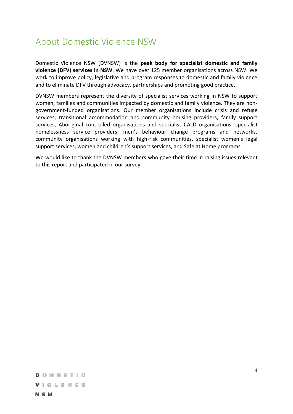## <span id="page-3-0"></span>About Domestic Violence NSW

Domestic Violence NSW (DVNSW) is the **peak body for specialist domestic and family violence (DFV) services in NSW**. We have over 125 member organisations across NSW. We work to improve policy, legislative and program responses to domestic and family violence and to eliminate DFV through advocacy, partnerships and promoting good practice.

DVNSW members represent the diversity of specialist services working in NSW to support women, families and communities impacted by domestic and family violence. They are nongovernment-funded organisations. Our member organisations include crisis and refuge services, transitional accommodation and community housing providers, family support services, Aboriginal controlled organisations and specialist CALD organisations, specialist homelessness service providers, men's behaviour change programs and networks, community organisations working with high-risk communities, specialist women's legal support services, women and children's support services, and Safe at Home programs.

We would like to thank the DVNSW members who gave their time in raising issues relevant to this report and participated in our survey.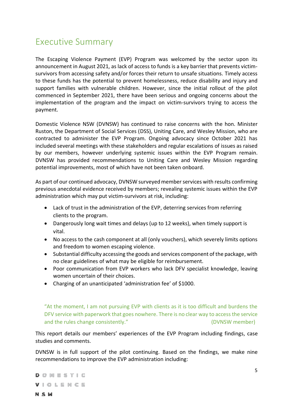## <span id="page-4-0"></span>Executive Summary

The Escaping Violence Payment (EVP) Program was welcomed by the sector upon its announcement in August 2021, as lack of access to funds is a key barrier that prevents victimsurvivors from accessing safety and/or forces their return to unsafe situations. Timely access to these funds has the potential to prevent homelessness, reduce disability and injury and support families with vulnerable children. However, since the initial rollout of the pilot commenced in September 2021, there have been serious and ongoing concerns about the implementation of the program and the impact on victim-survivors trying to access the payment.

Domestic Violence NSW (DVNSW) has continued to raise concerns with the hon. Minister Ruston, the Department of Social Services (DSS), Uniting Care, and Wesley Mission, who are contracted to administer the EVP Program. Ongoing advocacy since October 2021 has included several meetings with these stakeholders and regular escalations of issues as raised by our members, however underlying systemic issues within the EVP Program remain. DVNSW has provided recommendations to Uniting Care and Wesley Mission regarding potential improvements, most of which have not been taken onboard.

As part of our continued advocacy, DVNSW surveyed member services with results confirming previous anecdotal evidence received by members; revealing systemic issues within the EVP administration which may put victim-survivors at risk, including:

- Lack of trust in the administration of the EVP, deterring services from referring clients to the program.
- Dangerously long wait times and delays (up to 12 weeks), when timely support is vital.
- No access to the cash component at all (only vouchers), which severely limits options and freedom to women escaping violence.
- Substantial difficulty accessing the goods and services component of the package, with no clear guidelines of what may be eligible for reimbursement.
- Poor communication from EVP workers who lack DFV specialist knowledge, leaving women uncertain of their choices.
- Charging of an unanticipated 'administration fee' of \$1000.

"At the moment, I am not pursuing EVP with clients as it is too difficult and burdens the DFV service with paperwork that goes nowhere. There is no clear way to access the service and the rules change consistently."  $(DVNSW$  member)

This report details our members' experiences of the EVP Program including findings, case studies and comments.

DVNSW is in full support of the pilot continuing. Based on the findings, we make nine recommendations to improve the EVP administration including:

**DOMESTIC** VIOLENCE **NSW**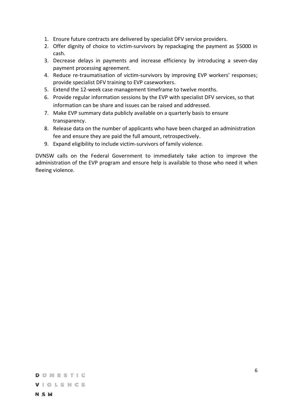- 1. Ensure future contracts are delivered by specialist DFV service providers.
- 2. Offer dignity of choice to victim-survivors by repackaging the payment as \$5000 in cash.
- 3. Decrease delays in payments and increase efficiency by introducing a seven-day payment processing agreement.
- 4. Reduce re-traumatisation of victim-survivors by improving EVP workers' responses; provide specialist DFV training to EVP caseworkers.
- 5. Extend the 12-week case management timeframe to twelve months.
- 6. Provide regular information sessions by the EVP with specialist DFV services, so that information can be share and issues can be raised and addressed.
- 7. Make EVP summary data publicly available on a quarterly basis to ensure transparency.
- 8. Release data on the number of applicants who have been charged an administration fee and ensure they are paid the full amount, retrospectively.
- 9. Expand eligibility to include victim-survivors of family violence.

DVNSW calls on the Federal Government to immediately take action to improve the administration of the EVP program and ensure help is available to those who need it when fleeing violence.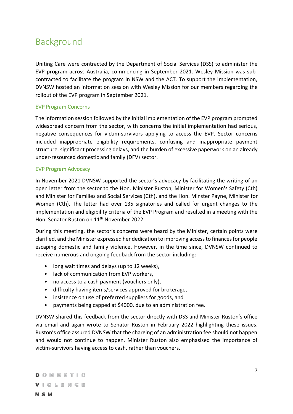## <span id="page-6-0"></span>Background

Uniting Care were contracted by the Department of Social Services (DSS) to administer the EVP program across Australia, commencing in September 2021. Wesley Mission was subcontracted to facilitate the program in NSW and the ACT. To support the implementation, DVNSW hosted an information session with Wesley Mission for our members regarding the rollout of the EVP program in September 2021.

#### EVP Program Concerns

The information session followed by the initial implementation of the EVP program prompted widespread concern from the sector, with concerns the initial implementation had serious, negative consequences for victim-survivors applying to access the EVP. Sector concerns included inappropriate eligibility requirements, confusing and inappropriate payment structure, significant processing delays, and the burden of excessive paperwork on an already under-resourced domestic and family (DFV) sector.

#### EVP Program Advocacy

In November 2021 DVNSW supported the sector's advocacy by facilitating the writing of an open letter from the sector to the Hon. Minister Ruston, Minister for Women's Safety (Cth) and Minister for Families and Social Services (Cth), and the Hon. Minster Payne, Minister for Women (Cth). The letter had over 135 signatories and called for urgent changes to the implementation and eligibility criteria of the EVP Program and resulted in a meeting with the Hon. Senator Ruston on 11<sup>th</sup> November 2022.

During this meeting, the sector's concerns were heard by the Minister, certain points were clarified, and the Minister expressed her dedication to improving access to finances for people escaping domestic and family violence. However, in the time since, DVNSW continued to receive numerous and ongoing feedback from the sector including:

- long wait times and delays (up to 12 weeks),
- lack of communication from EVP workers,
- no access to a cash payment (vouchers only),
- difficulty having items/services approved for brokerage,
- insistence on use of preferred suppliers for goods, and
- payments being capped at \$4000, due to an administration fee.

DVNSW shared this feedback from the sector directly with DSS and Minister Ruston's office via email and again wrote to Senator Ruston in February 2022 highlighting these issues. Ruston's office assured DVNSW that the charging of an administration fee should not happen and would not continue to happen. Minister Ruston also emphasised the importance of victim-survivors having access to cash, rather than vouchers.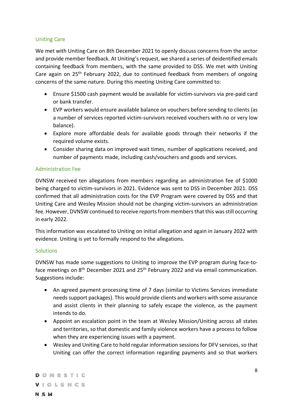#### Uniting Care

We met with Uniting Care on 8th December 2021 to openly discuss concerns from the sector and provide member feedback. At Uniting's request, we shared a series of deidentified emails containing feedback from members, with the same provided to DSS. We met with Uniting Care again on  $25<sup>th</sup>$  February 2022, due to continued feedback from members of ongoing concerns of the same nature. During this meeting Uniting Care committed to:

- Ensure \$1500 cash payment would be available for victim-survivors via pre-paid card or bank transfer.
- EVP workers would ensure available balance on vouchers before sending to clients (as a number of services reported victim-survivors received vouchers with no or very low balance).
- Explore more affordable deals for available goods through their networks if the required volume exists.
- Consider sharing data on improved wait times, number of applications received, and number of payments made, including cash/vouchers and goods and services.

#### Administration Fee

DVNSW received ten allegations from members regarding an administration fee of \$1000 being charged to victim-survivors in 2021. Evidence was sent to DSS in December 2021. DSS confirmed that all administration costs for the EVP Program were covered by DSS and that Uniting Care and Wesley Mission should not be charging victim-survivors an administration fee. However, DVNSW continued to receive reports from members that this was still occurring in early 2022.

This information was escalated to Uniting on initial allegation and again in January 2022 with evidence. Uniting is yet to formally respond to the allegations.

#### **Solutions**

DVNSW has made some suggestions to Uniting to improve the EVP program during face-toface meetings on 8<sup>th</sup> December 2021 and 25<sup>th</sup> February 2022 and via email communication. Suggestions include:

- An agreed payment processing time of 7 days (similar to Victims Services immediate needs support packages). This would provide clients and workers with some assurance and assist clients in their planning to safely escape the violence, as the payment intends to do.
- Appoint an escalation point in the team at Wesley Mission/Uniting across all states and territories, so that domestic and family violence workers have a process to follow when they are experiencing issues with a payment.
- Wesley and Uniting Care to hold regular information sessions for DFV services, so that Uniting can offer the correct information regarding payments and so that workers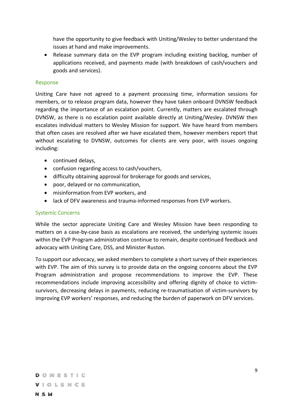have the opportunity to give feedback with Uniting/Wesley to better understand the issues at hand and make improvements.

• Release summary data on the EVP program including existing backlog, number of applications received, and payments made (with breakdown of cash/vouchers and goods and services).

#### Response

Uniting Care have not agreed to a payment processing time, information sessions for members, or to release program data, however they have taken onboard DVNSW feedback regarding the importance of an escalation point. Currently, matters are escalated through DVNSW, as there is no escalation point available directly at Uniting/Wesley. DVNSW then escalates individual matters to Wesley Mission for support. We have heard from members that often cases are resolved after we have escalated them, however members report that without escalating to DVNSW, outcomes for clients are very poor, with issues ongoing including:

- continued delays,
- confusion regarding access to cash/vouchers,
- difficulty obtaining approval for brokerage for goods and services,
- poor, delayed or no communication,
- misinformation from EVP workers, and
- lack of DFV awareness and trauma-informed responses from EVP workers.

#### Systemic Concerns

While the sector appreciate Uniting Care and Wesley Mission have been responding to matters on a case-by-case basis as escalations are received, the underlying systemic issues within the EVP Program administration continue to remain, despite continued feedback and advocacy with Uniting Care, DSS, and Minister Ruston.

To support our advocacy, we asked members to complete a short survey of their experiences with EVP. The aim of this survey is to provide data on the ongoing concerns about the EVP Program administration and propose recommendations to improve the EVP. These recommendations include improving accessibility and offering dignity of choice to victimsurvivors, decreasing delays in payments, reducing re-traumatisation of victim-survivors by improving EVP workers' responses, and reducing the burden of paperwork on DFV services.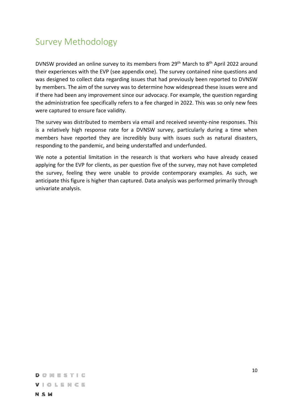## <span id="page-9-0"></span>Survey Methodology

DVNSW provided an online survey to its members from 29th March to 8th April 2022 around their experiences with the EVP (see appendix one). The survey contained nine questions and was designed to collect data regarding issues that had previously been reported to DVNSW by members. The aim of the survey was to determine how widespread these issues were and if there had been any improvement since our advocacy. For example, the question regarding the administration fee specifically refers to a fee charged in 2022. This was so only new fees were captured to ensure face validity.

The survey was distributed to members via email and received seventy-nine responses. This is a relatively high response rate for a DVNSW survey, particularly during a time when members have reported they are incredibly busy with issues such as natural disasters, responding to the pandemic, and being understaffed and underfunded.

We note a potential limitation in the research is that workers who have already ceased applying for the EVP for clients, as per question five of the survey, may not have completed the survey, feeling they were unable to provide contemporary examples. As such, we anticipate this figure is higher than captured. Data analysis was performed primarily through univariate analysis.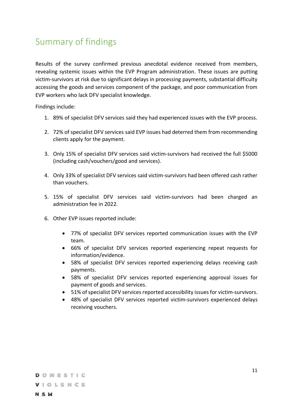## <span id="page-10-0"></span>Summary of findings

Results of the survey confirmed previous anecdotal evidence received from members, revealing systemic issues within the EVP Program administration. These issues are putting victim-survivors at risk due to significant delays in processing payments, substantial difficulty accessing the goods and services component of the package, and poor communication from EVP workers who lack DFV specialist knowledge.

Findings include:

- 1. 89% of specialist DFV services said they had experienced issues with the EVP process.
- 2. 72% of specialist DFV services said EVP issues had deterred them from recommending clients apply for the payment.
- 3. Only 15% of specialist DFV services said victim-survivors had received the full \$5000 (including cash/vouchers/good and services).
- 4. Only 33% of specialist DFV services said victim-survivors had been offered cash rather than vouchers.
- 5. 15% of specialist DFV services said victim-survivors had been charged an administration fee in 2022.
- 6. Other EVP issues reported include:
	- 77% of specialist DFV services reported communication issues with the EVP team.
	- 66% of specialist DFV services reported experiencing repeat requests for information/evidence.
	- 58% of specialist DFV services reported experiencing delays receiving cash payments.
	- 58% of specialist DFV services reported experiencing approval issues for payment of goods and services.
	- 51% of specialist DFV services reported accessibility issues for victim-survivors.
	- 48% of specialist DFV services reported victim-survivors experienced delays receiving vouchers.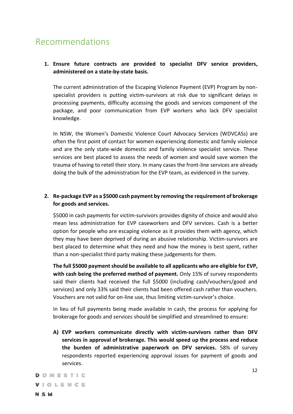## <span id="page-11-0"></span>Recommendations

#### **1. Ensure future contracts are provided to specialist DFV service providers, administered on a state-by-state basis.**

The current administration of the Escaping Violence Payment (EVP) Program by nonspecialist providers is putting victim-survivors at risk due to significant delays in processing payments, difficulty accessing the goods and services component of the package, and poor communication from EVP workers who lack DFV specialist knowledge.

In NSW, the Women's Domestic Violence Court Advocacy Services (WDVCASs) are often the first point of contact for women experiencing domestic and family violence and are the only state-wide domestic and family violence specialist service. These services are best placed to assess the needs of women and would save women the trauma of having to retell their story. In many cases the front-line services are already doing the bulk of the administration for the EVP team, as evidenced in the survey.

#### **2. Re-package EVP as a \$5000 cash payment by removing the requirement of brokerage for goods and services.**

\$5000 in cash payments for victim-survivors provides dignity of choice and would also mean less administration for EVP caseworkers and DFV services. Cash is a better option for people who are escaping violence as it provides them with agency, which they may have been deprived of during an abusive relationship. Victim-survivors are best placed to determine what they need and how the money is best spent, rather than a non-specialist third party making these judgements for them.

**The full \$5000 payment should be available to all applicants who are eligible for EVP, with cash being the preferred method of payment.** Only 15% of survey respondents said their clients had received the full \$5000 (including cash/vouchers/good and services) and only 33% said their clients had been offered cash rather than vouchers. Vouchers are not valid for on-line use, thus limiting victim-survivor's choice.

In lieu of full payments being made available in cash, the process for applying for brokerage for goods and services should be simplified and streamlined to ensure:

**A) EVP workers communicate directly with victim-survivors rather than DFV services in approval of brokerage. This would speed up the process and reduce the burden of administrative paperwork on DFV services.** 58% of survey respondents reported experiencing approval issues for payment of goods and services.

 $D \circ M \to S$  T  $\vdash C$ VIOLENCE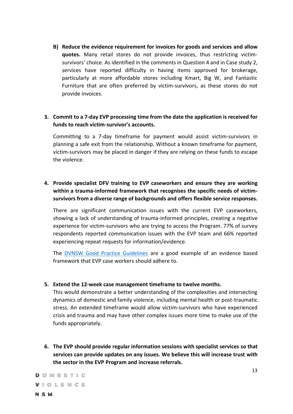**B) Reduce the evidence requirement for invoices for goods and services and allow quotes.** Many retail stores do not provide invoices, thus restricting victimsurvivors' choice. As identified in the comments in Question 4 and in Case study 2, services have reported difficulty in having items approved for brokerage, particularly at more affordable stores including Kmart, Big W, and Fantastic Furniture that are often preferred by victim-survivors, as these stores do not provide invoices.

#### **3. Commit to a 7-day EVP processing time from the date the application is received for funds to reach victim-survivor's accounts.**

Committing to a 7-day timeframe for payment would assist victim-survivors in planning a safe exit from the relationship. Without a known timeframe for payment, victim-survivors may be placed in danger if they are relying on these funds to escape the violence.

#### **4. Provide specialist DFV training to EVP caseworkers and ensure they are working within a trauma-informed framework that recognises the specific needs of victimsurvivors from a diverse range of backgrounds and offers flexible service responses.**

There are significant communication issues with the current EVP caseworkers, showing a lack of understanding of trauma-informed principles, creating a negative experience for victim-survivors who are trying to access the Program. 77% of survey respondents reported communication issues with the EVP team and 66% reported experiencing repeat requests for information/evidence.

The [DVNSW Good Practice Guidelines](https://www.dvnsw.org.au/wp-content/uploads/2020/11/DFV-Practice-Guidelines-1.pdf) are a good example of an evidence based framework that EVP case workers should adhere to.

#### **5. Extend the 12-week case management timeframe to twelve months.**

This would demonstrate a better understanding of the complexities and intersecting dynamics of domestic and family violence, including mental health or post-traumatic stress. An extended timeframe would allow victim-survivors who have experienced crisis and trauma and may have other complex issues more time to make use of the funds appropriately.

**6. The EVP should provide regular information sessions with specialist services so that services can provide updates on any issues. We believe this will increase trust with the sector in the EVP Program and increase referrals.**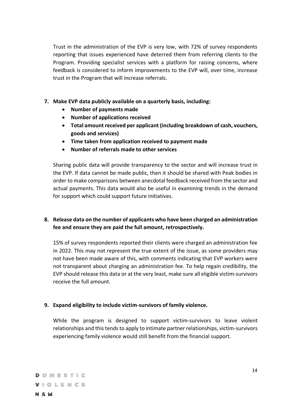Trust in the administration of the EVP is very low, with 72% of survey respondents reporting that issues experienced have deterred them from referring clients to the Program. Providing specialist services with a platform for raising concerns, where feedback is considered to inform improvements to the EVP will, over time, increase trust in the Program that will increase referrals.

- **7. Make EVP data publicly available on a quarterly basis, including:**
	- **Number of payments made**
	- **Number of applications received**
	- **Total amount received per applicant (including breakdown of cash, vouchers, goods and services)**
	- **Time taken from application received to payment made**
	- **Number of referrals made to other services**

Sharing public data will provide transparency to the sector and will increase trust in the EVP. If data cannot be made public, then it should be shared with Peak bodies in order to make comparisons between anecdotal feedback received from the sector and actual payments. This data would also be useful in examining trends in the demand for support which could support future initiatives.

#### **8. Release data on the number of applicants who have been charged an administration fee and ensure they are paid the full amount, retrospectively.**

15% of survey respondents reported their clients were charged an administration fee in 2022. This may not represent the true extent of the issue, as some providers may not have been made aware of this, with comments indicating that EVP workers were not transparent about charging an administration fee. To help regain credibility, the EVP should release this data or at the very least, make sure all eligible victim-survivors receive the full amount.

#### **9. Expand eligibility to include victim-survivors of family violence.**

While the program is designed to support victim-survivors to leave violent relationships and this tends to apply to intimate partner relationships, victim-survivors experiencing family violence would still benefit from the financial support.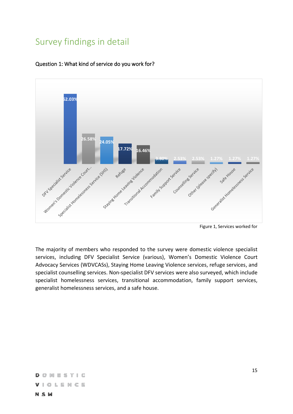## <span id="page-14-0"></span>Survey findings in detail



#### <span id="page-14-1"></span>Question 1: What kind of service do you work for?

The majority of members who responded to the survey were domestic violence specialist services, including DFV Specialist Service (various), Women's Domestic Violence Court Advocacy Services (WDVCASs), Staying Home Leaving Violence services, refuge services, and specialist counselling services. Non-specialist DFV services were also surveyed, which include specialist homelessness services, transitional accommodation, family support services, generalist homelessness services, and a safe house.

Figure 1, Services worked for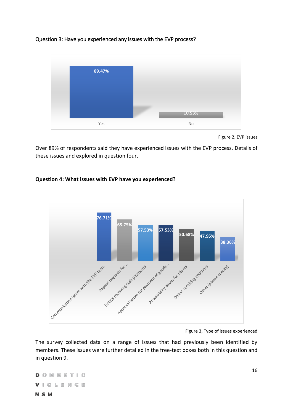#### <span id="page-15-0"></span>Question 3: Have you experienced any issues with the EVP process?



Figure 2, EVP issues

Over 89% of respondents said they have experienced issues with the EVP process. Details of these issues and explored in question four.

## **76.71% 65.75% 57.53% 57.53% 50.68% 47.95% 38.36%**Approval issues for payments and dependence Contratividation issues with the cute reach Delays receiving cash payments Regard requests for Amento & Society of Ments Other (degree specify) Delays receiving Journers

#### **Question 4: What issues with EVP have you experienced?**

The survey collected data on a range of issues that had previously been identified by members. These issues were further detailed in the free-text boxes both in this question and in question 9.

**DOMESTIC** VIOLENCE **NSW** 

Figure 3, Type of issues experienced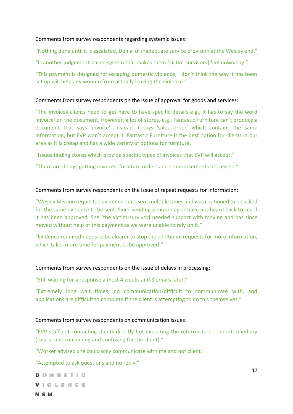#### Comments from survey respondents regarding systemic issues:

"Nothing done until it is escalated. Denial of inadequate service provision at the Wesley end."

"Is another judgement-based system that makes them [victim-survivors] feel unworthy."

"This payment is designed for escaping domestic violence, I don't think the way it has been set up will help any women from actually leaving the violence."

#### Comments from survey respondents on the issue of approval for goods and services:

"The invoices clients need to get have to have specific details e.g., it has to say the word 'invoice' on the document. However, a lot of stores, e.g., Fantastic Furniture can't produce a document that says 'invoice', instead it says 'sales order' which contains the same information, but EVP won't accept it. Fantastic Furniture is the best option for clients in our area as it is cheap and has a wide variety of options for furniture."

"Issues finding stores which provide specific types of invoices that EVP will accept."

"There are delays getting invoices, furniture orders and reimbursements processed."

#### Comments from survey respondents on the issue of repeat requests for information:

"Wesley Mission requested evidence that I sent multiple times and was continued to be asked for the same evidence to be sent. Since sending a month ago I have not heard back to see if it has been approved. She [the victim-survivor] needed support with moving and has since moved without help of this payment as we were unable to rely on it."

"Evidence required needs to be clearer to stop the additional requests for more information, which takes more time for payment to be approved."

#### Comments from survey respondents on the issue of delays in processing:

"Still waiting for a response almost 4 weeks and 3 emails later."

"Extremely long wait times, no communication/difficult to communicate with, and applications are difficult to complete if the client is attempting to do this themselves."

#### Comments from survey respondents on communication issues:

"EVP staff not contacting clients directly but expecting the referrer to be the intermediary (this is time consuming and confusing for the client)."

"Worker advised she could only communicate with me and not client."

"Attempted to ask questions and no reply."

 $D \cap M \in S$  Tic VIOLENCE

**NSW**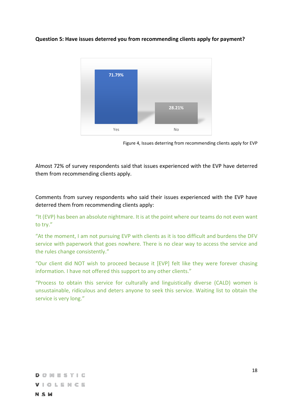#### **Question 5: Have issues deterred you from recommending clients apply for payment?**



Figure 4, Issues deterring from recommending clients apply for EVP

Almost 72% of survey respondents said that issues experienced with the EVP have deterred them from recommending clients apply.

Comments from survey respondents who said their issues experienced with the EVP have deterred them from recommending clients apply:

"It (EVP) has been an absolute nightmare. It is at the point where our teams do not even want to try."

"At the moment, I am not pursuing EVP with clients as it is too difficult and burdens the DFV service with paperwork that goes nowhere. There is no clear way to access the service and the rules change consistently."

"Our client did NOT wish to proceed because it [EVP] felt like they were forever chasing information. I have not offered this support to any other clients."

"Process to obtain this service for culturally and linguistically diverse (CALD) women is unsustainable, ridiculous and deters anyone to seek this service. Waiting list to obtain the service is very long."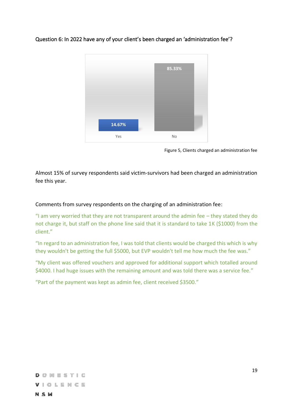# **14.67% 85.33%** Yes No

<span id="page-18-0"></span>Question 6: In 2022 have any of your client's been charged an 'administration fee'?

Figure 5, Clients charged an administration fee

Almost 15% of survey respondents said victim-survivors had been charged an administration fee this year.

Comments from survey respondents on the charging of an administration fee:

"I am very worried that they are not transparent around the admin fee – they stated they do not charge it, but staff on the phone line said that it is standard to take 1K (\$1000) from the client."

"In regard to an administration fee, I was told that clients would be charged this which is why they wouldn't be getting the full \$5000, but EVP wouldn't tell me how much the fee was."

"My client was offered vouchers and approved for additional support which totalled around \$4000. I had huge issues with the remaining amount and was told there was a service fee."

"Part of the payment was kept as admin fee, client received \$3500."

VIOLENCE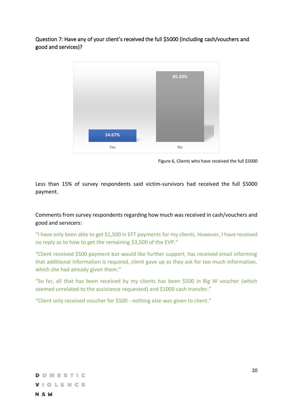<span id="page-19-0"></span>Question 7: Have any of your client's received the full \$5000 (including cash/vouchers and good and services)?



Figure 6, Clients who have received the full \$5000

Less than 15% of survey respondents said victim-survivors had received the full \$5000 payment.

Comments from survey respondents regarding how much was received in cash/vouchers and good and servicers:

"I have only been able to get \$1,500 in EFT payments for my clients. However, I have received no reply as to how to get the remaining \$3,500 of the EVP."

"Client received \$500 payment but would like further support, has received email informing that additional information is required, client gave up as they ask for too much information, which she had already given them."

"So far, all that has been received by my clients has been \$500 in Big W voucher (which seemed unrelated to the assistance requested) and \$1000 cash transfer."

"Client only received voucher for \$500 - nothing else was given to client."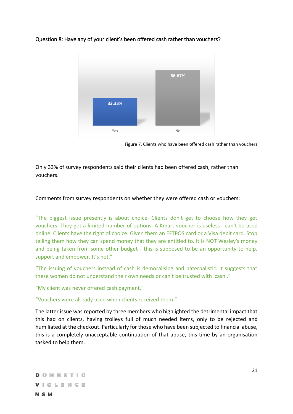

#### <span id="page-20-0"></span>Question 8: Have any of your client's been offered cash rather than vouchers?

Figure 7, Clients who have been offered cash rather than vouchers

Only 33% of survey respondents said their clients had been offered cash, rather than vouchers.

#### Comments from survey respondents on whether they were offered cash or vouchers:

"The biggest issue presently is about choice. Clients don't get to choose how they get vouchers. They get a limited number of options. A Kmart voucher is useless - can't be used online. Clients have the right of choice. Given them an EFTPOS card or a Visa debit card. Stop telling them how they can spend money that they are entitled to. It is NOT Wesley's money and being taken from some other budget - this is supposed to be an opportunity to help, support and empower. It's not."

"The issuing of vouchers instead of cash is demoralising and paternalistic. It suggests that these women do not understand their own needs or can't be trusted with 'cash'."

"My client was never offered cash payment."

"Vouchers were already used when clients received them."

The latter issue was reported by three members who highlighted the detrimental impact that this had on clients, having trolleys full of much needed items, only to be rejected and humiliated at the checkout. Particularly for those who have been subjected to financial abuse, this is a completely unacceptable continuation of that abuse, this time by an organisation tasked to help them.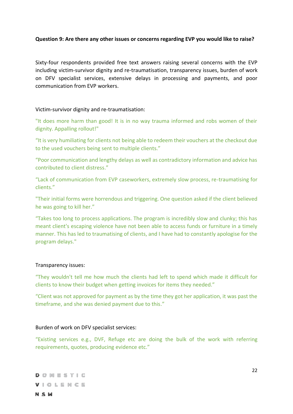#### **Question 9: Are there any other issues or concerns regarding EVP you would like to raise?**

Sixty-four respondents provided free text answers raising several concerns with the EVP including victim-survivor dignity and re-traumatisation, transparency issues, burden of work on DFV specialist services, extensive delays in processing and payments, and poor communication from EVP workers.

#### Victim-survivor dignity and re-traumatisation:

"It does more harm than good! It is in no way trauma informed and robs women of their dignity. Appalling rollout!"

"It is very humiliating for clients not being able to redeem their vouchers at the checkout due to the used vouchers being sent to multiple clients."

"Poor communication and lengthy delays as well as contradictory information and advice has contributed to client distress."

"Lack of communication from EVP caseworkers, extremely slow process, re-traumatising for clients."

"Their initial forms were horrendous and triggering. One question asked if the client believed he was going to kill her."

"Takes too long to process applications. The program is incredibly slow and clunky; this has meant client's escaping violence have not been able to access funds or furniture in a timely manner. This has led to traumatising of clients, and I have had to constantly apologise for the program delays."

#### Transparency issues:

"They wouldn't tell me how much the clients had left to spend which made it difficult for clients to know their budget when getting invoices for items they needed."

"Client was not approved for payment as by the time they got her application, it was past the timeframe, and she was denied payment due to this."

#### Burden of work on DFV specialist services:

"Existing services e.g., DVF, Refuge etc are doing the bulk of the work with referring requirements, quotes, producing evidence etc."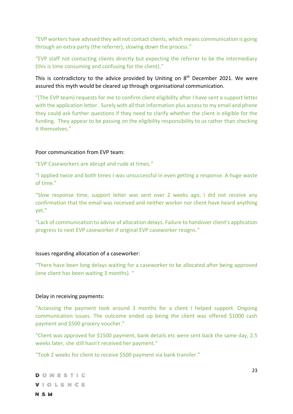"EVP workers have advised they will not contact clients, which means communication is going through an extra party (the referrer), slowing down the process."

"EVP staff not contacting clients directly but expecting the referrer to be the intermediary (this is time consuming and confusing for the client)."

This is contradictory to the advice provided by Uniting on 8<sup>th</sup> December 2021. We were assured this myth would be cleared up through organisational communication.

"(The EVP team) requests for me to confirm client eligibility after I have sent a support letter with the application letter. Surely with all that information plus access to my email and phone they could ask further questions if they need to clarify whether the client is eligible for the funding. They appear to be passing on the eligibility responsibility to us rather than checking it themselves."

#### Poor communication from EVP team:

"EVP Caseworkers are abrupt and rude at times."

"I applied twice and both times I was unsuccessful in even getting a response. A huge waste of time."

"Slow response time, support letter was sent over 2 weeks ago, I did not receive any confirmation that the email was received and neither worker nor client have heard anything yet."

"Lack of communication to advise of allocation delays. Failure to handover client's application progress to next EVP caseworker if original EVP caseworker resigns."

#### Issues regarding allocation of a caseworker:

"There have been long delays waiting for a caseworker to be allocated after being approved (one client has been waiting 3 months). "

#### Delay in receiving payments:

"Accessing the payment took around 3 months for a client I helped support. Ongoing communication issues. The outcome ended up being the client was offered \$1000 cash payment and \$500 grocery voucher."

"Client was approved for \$1500 payment, bank details etc were sent back the same day, 2.5 weeks later, she still hasn't received her payment."

"Took 2 weeks for client to receive \$500 payment via bank transfer."

**DOMESTIC** VIOLENCE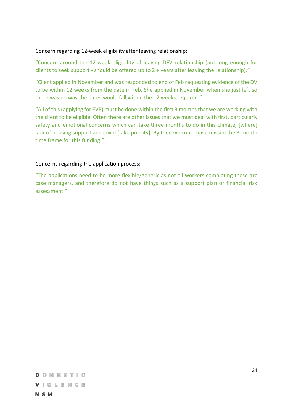#### Concern regarding 12-week eligibility after leaving relationship:

"Concern around the 12-week eligibility of leaving DFV relationship (not long enough for clients to seek support - should be offered up to 2 + years after leaving the relationship)."

"Client applied in November and was responded to end of Feb requesting evidence of the DV to be within 12 weeks from the date in Feb. She applied in November when she just left so there was no way the dates would fall within the 12 weeks required."

"All of this (applying for EVP) must be done within the first 3 months that we are working with the client to be eligible. Often there are other issues that we must deal with first, particularly safety and emotional concerns which can take three months to do in this climate, [where] lack of housing support and covid [take priority]. By then we could have missed the 3-month time frame for this funding."

#### Concerns regarding the application process:

"The applications need to be more flexible/generic as not all workers completing these are case managers, and therefore do not have things such as a support plan or financial risk assessment."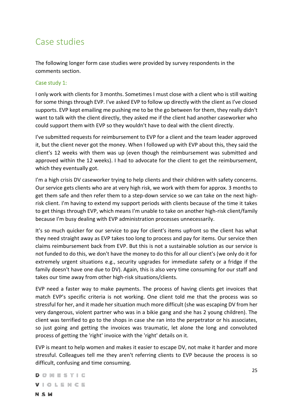## <span id="page-24-0"></span>Case studies

The following longer form case studies were provided by survey respondents in the comments section.

#### Case study 1:

I only work with clients for 3 months. Sometimes I must close with a client who is still waiting for some things through EVP. I've asked EVP to follow up directly with the client as I've closed supports. EVP kept emailing me pushing me to be the go between for them, they really didn't want to talk with the client directly, they asked me if the client had another caseworker who could support them with EVP so they wouldn't have to deal with the client directly.

I've submitted requests for reimbursement to EVP for a client and the team leader approved it, but the client never got the money. When I followed up with EVP about this, they said the client's 12 weeks with them was up (even though the reimbursement was submitted and approved within the 12 weeks). I had to advocate for the client to get the reimbursement, which they eventually got.

I'm a high crisis DV caseworker trying to help clients and their children with safety concerns. Our service gets clients who are at very high risk, we work with them for approx. 3 months to get them safe and then refer them to a step-down service so we can take on the next highrisk client. I'm having to extend my support periods with clients because of the time it takes to get things through EVP, which means I'm unable to take on another high-risk client/family because I'm busy dealing with EVP administration processes unnecessarily.

It's so much quicker for our service to pay for client's items upfront so the client has what they need straight away as EVP takes too long to process and pay for items. Our service then claims reimbursement back from EVP. But this is not a sustainable solution as our service is not funded to do this, we don't have the money to do this for all our client's (we only do it for extremely urgent situations e.g., security upgrades for immediate safety or a fridge if the family doesn't have one due to DV). Again, this is also very time consuming for our staff and takes our time away from other high-risk situations/clients.

EVP need a faster way to make payments. The process of having clients get invoices that match EVP's specific criteria is not working. One client told me that the process was so stressful for her, and it made her situation much more difficult (she was escaping DV from her very dangerous, violent partner who was in a bikie gang and she has 2 young children). The client was terrified to go to the shops in case she ran into the perpetrator or his associates, so just going and getting the invoices was traumatic, let alone the long and convoluted process of getting the 'right' invoice with the 'right' details on it.

EVP is meant to help women and makes it easier to escape DV, not make it harder and more stressful. Colleagues tell me they aren't referring clients to EVP because the process is so difficult, confusing and time consuming.

DOMESTIC VIOLENCE **NSW**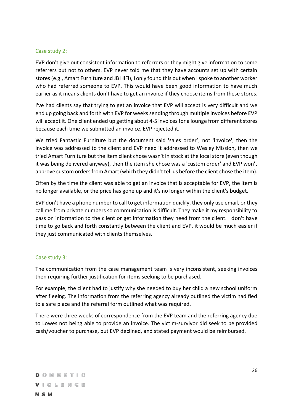#### Case study 2:

EVP don't give out consistent information to referrers or they might give information to some referrers but not to others. EVP never told me that they have accounts set up with certain stores (e.g., Amart Furniture and JB HiFi), I only found this out when I spoke to another worker who had referred someone to EVP. This would have been good information to have much earlier as it means clients don't have to get an invoice if they choose items from these stores.

I've had clients say that trying to get an invoice that EVP will accept is very difficult and we end up going back and forth with EVP for weeks sending through multiple invoices before EVP will accept it. One client ended up getting about 4-5 invoices for a lounge from different stores because each time we submitted an invoice, EVP rejected it.

We tried Fantastic Furniture but the document said 'sales order', not 'invoice', then the invoice was addressed to the client and EVP need it addressed to Wesley Mission, then we tried Amart Furniture but the item client chose wasn't in stock at the local store (even though it was being delivered anyway), then the item she chose was a 'custom order' and EVP won't approve custom orders from Amart (which they didn't tell us before the client chose the item).

Often by the time the client was able to get an invoice that is acceptable for EVP, the item is no longer available, or the price has gone up and it's no longer within the client's budget.

EVP don't have a phone number to call to get information quickly, they only use email, or they call me from private numbers so communication is difficult. They make it my responsibility to pass on information to the client or get information they need from the client. I don't have time to go back and forth constantly between the client and EVP, it would be much easier if they just communicated with clients themselves.

#### Case study 3:

The communication from the case management team is very inconsistent, seeking invoices then requiring further justification for items seeking to be purchased.

For example, the client had to justify why she needed to buy her child a new school uniform after fleeing. The information from the referring agency already outlined the victim had fled to a safe place and the referral form outlined what was required.

There were three weeks of correspondence from the EVP team and the referring agency due to Lowes not being able to provide an invoice. The victim-survivor did seek to be provided cash/voucher to purchase, but EVP declined, and stated payment would be reimbursed.